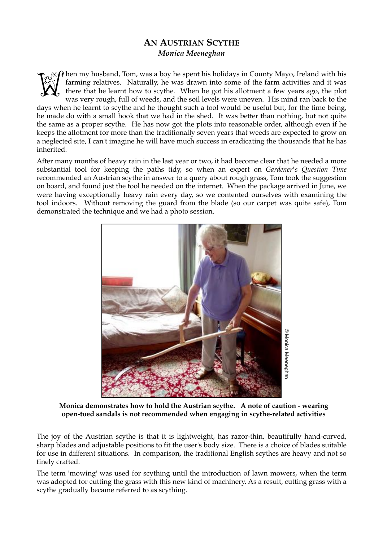## **AN AUSTRIAN SCYTHE**  *Monica Meeneghan*

 $\partial \Omega$  hen my husband, Tom, was a boy he spent his holidays in County Mayo, Ireland with his farming relatives. Naturally, he was drawn into some of the farm activities and it was there that he learnt how to scythe. When he got his allotment a few years ago, the plot was very rough, full of weeds, and the soil levels were uneven. His mind ran back to the days when he learnt to scythe and he thought such a tool would be useful but, for the time being, he made do with a small hook that we had in the shed. It was better than nothing, but not quite the same as a proper scythe. He has now got the plots into reasonable order, although even if he keeps the allotment for more than the traditionally seven years that weeds are expected to grow on a neglected site, I can't imagine he will have much success in eradicating the thousands that he has inherited. **Well** 

After many months of heavy rain in the last year or two, it had become clear that he needed a more substantial tool for keeping the paths tidy, so when an expert on *Gardener's Question Time* recommended an Austrian scythe in answer to a query about rough grass, Tom took the suggestion on board, and found just the tool he needed on the internet. When the package arrived in June, we were having exceptionally heavy rain every day, so we contented ourselves with examining the tool indoors. Without removing the guard from the blade (so our carpet was quite safe), Tom demonstrated the technique and we had a photo session.



**Monica demonstrates how to hold the Austrian scythe. A note of caution - wearing open-toed sandals is not recommended when engaging in scythe-related activities**

The joy of the Austrian scythe is that it is lightweight, has razor-thin, beautifully hand-curved, sharp blades and adjustable positions to fit the user's body size. There is a choice of blades suitable for use in different situations. In comparison, the traditional English scythes are heavy and not so finely crafted.

The term 'mowing' was used for scything until the introduction of lawn mowers, when the term was adopted for cutting the grass with this new kind of machinery. As a result, cutting grass with a scythe gradually became referred to as scything.